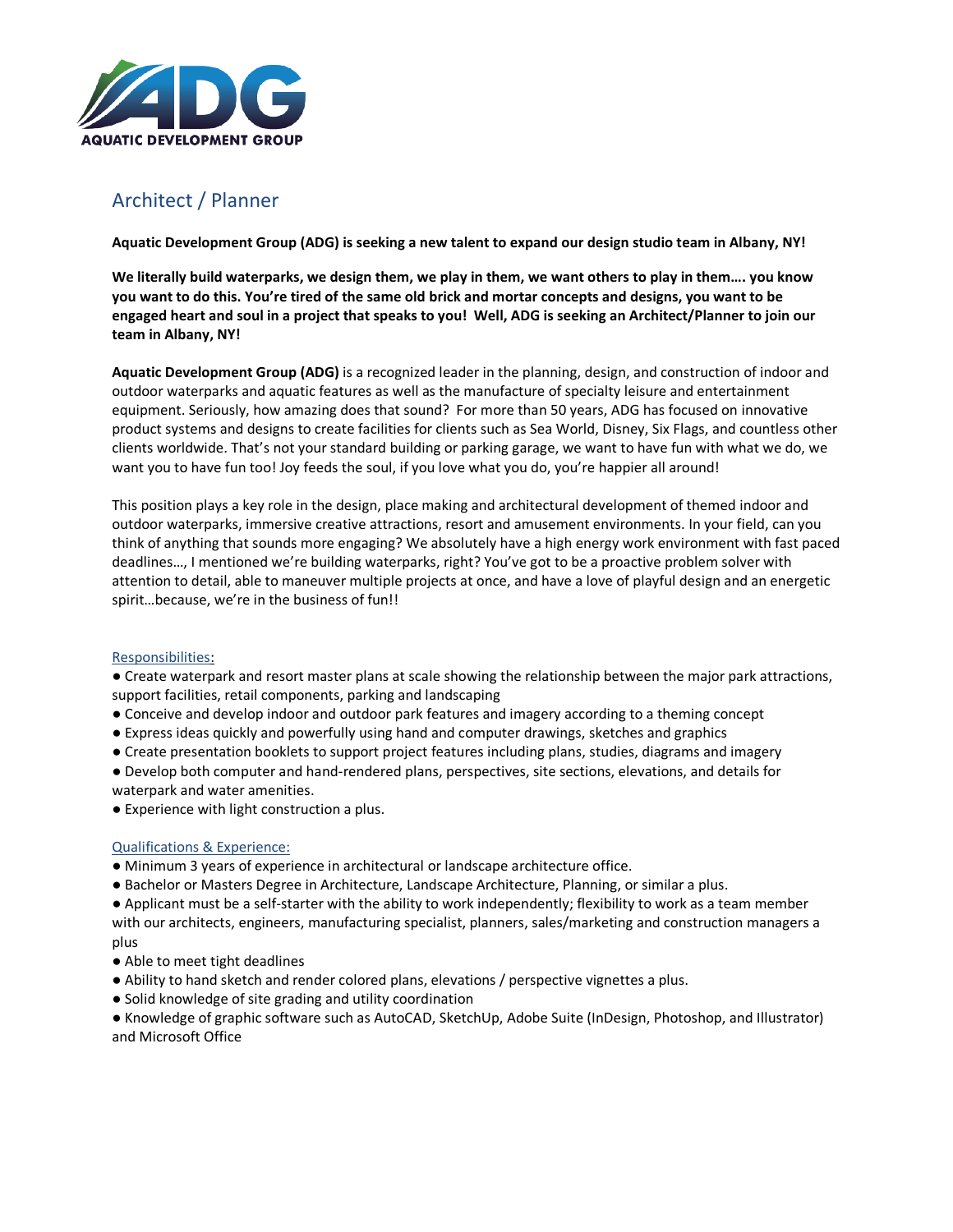

## Architect / Planner

**Aquatic Development Group (ADG) is seeking a new talent to expand our design studio team in Albany, NY!**

**We literally build waterparks, we design them, we play in them, we want others to play in them…. you know you want to do this. You're tired of the same old brick and mortar concepts and designs, you want to be engaged heart and soul in a project that speaks to you! Well, ADG is seeking an Architect/Planner to join our team in Albany, NY!** 

**Aquatic Development Group (ADG)** is a recognized leader in the planning, design, and construction of indoor and outdoor waterparks and aquatic features as well as the manufacture of specialty leisure and entertainment equipment. Seriously, how amazing does that sound? For more than 50 years, ADG has focused on innovative product systems and designs to create facilities for clients such as Sea World, Disney, Six Flags, and countless other clients worldwide. That's not your standard building or parking garage, we want to have fun with what we do, we want you to have fun too! Joy feeds the soul, if you love what you do, you're happier all around!

This position plays a key role in the design, place making and architectural development of themed indoor and outdoor waterparks, immersive creative attractions, resort and amusement environments. In your field, can you think of anything that sounds more engaging? We absolutely have a high energy work environment with fast paced deadlines…, I mentioned we're building waterparks, right? You've got to be a proactive problem solver with attention to detail, able to maneuver multiple projects at once, and have a love of playful design and an energetic spirit…because, we're in the business of fun!!

## Responsibilities:

● Create waterpark and resort master plans at scale showing the relationship between the major park attractions, support facilities, retail components, parking and landscaping

- Conceive and develop indoor and outdoor park features and imagery according to a theming concept
- Express ideas quickly and powerfully using hand and computer drawings, sketches and graphics
- Create presentation booklets to support project features including plans, studies, diagrams and imagery
- Develop both computer and hand-rendered plans, perspectives, site sections, elevations, and details for waterpark and water amenities.
- Experience with light construction a plus.

## Qualifications & Experience:

- Minimum 3 years of experience in architectural or landscape architecture office.
- Bachelor or Masters Degree in Architecture, Landscape Architecture, Planning, or similar a plus.
- Applicant must be a self-starter with the ability to work independently; flexibility to work as a team member with our architects, engineers, manufacturing specialist, planners, sales/marketing and construction managers a

plus

- Able to meet tight deadlines
- Ability to hand sketch and render colored plans, elevations / perspective vignettes a plus.
- Solid knowledge of site grading and utility coordination

● Knowledge of graphic software such as AutoCAD, SketchUp, Adobe Suite (InDesign, Photoshop, and Illustrator) and Microsoft Office